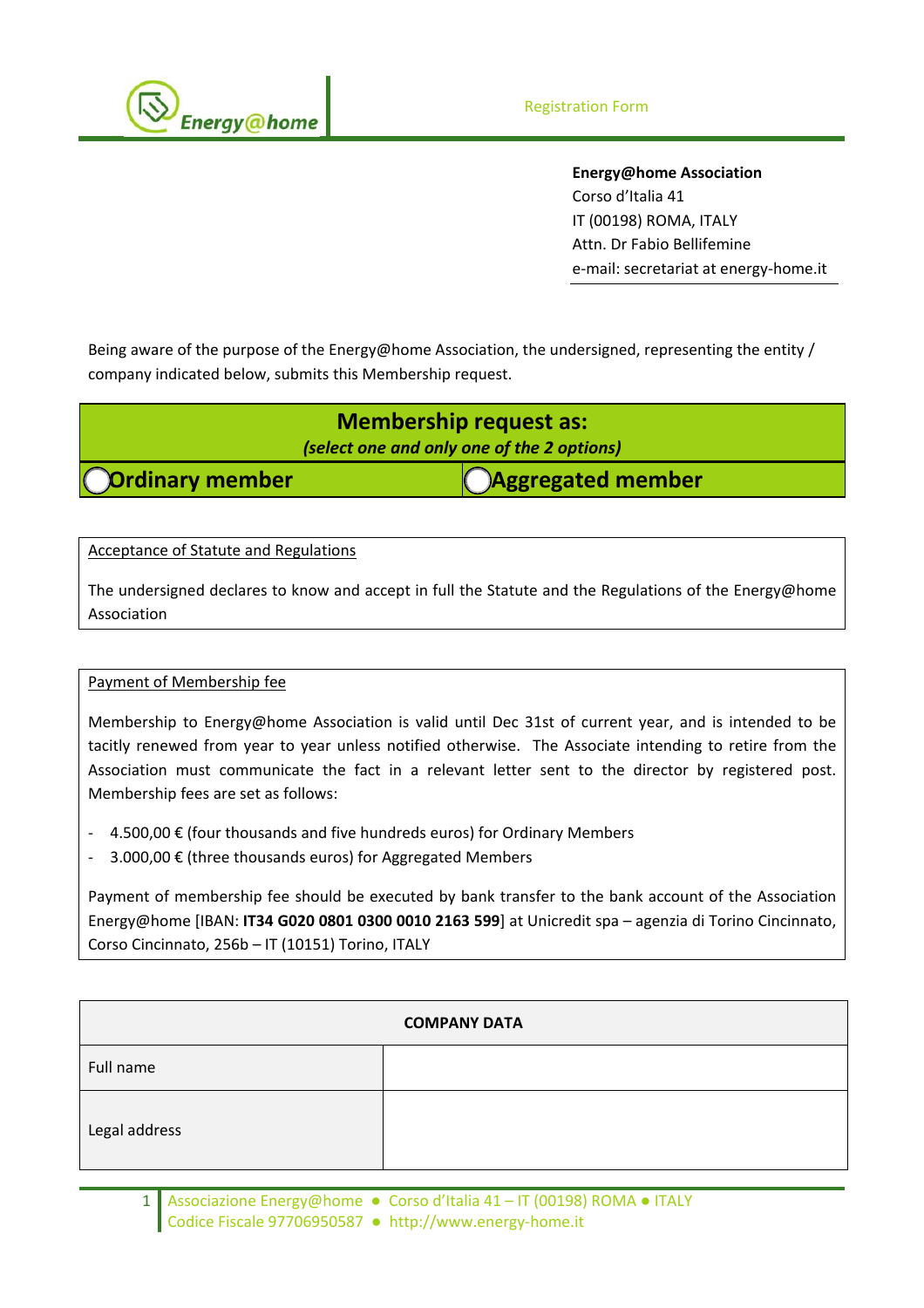

**Energy@home Association** Corso d'Italia 41 IT (00198) ROMA, ITALY Attn. Dr Fabio Bellifemine e‐mail: secretariat at energy‐home.it

Being aware of the purpose of the Energy@home Association, the undersigned, representing the entity / company indicated below, submits this Membership request.

| <b>Membership request as:</b>              |                          |  |
|--------------------------------------------|--------------------------|--|
| (select one and only one of the 2 options) |                          |  |
| <b>Ordinary member</b>                     | <b>Cagregated member</b> |  |

Acceptance of Statute and Regulations

The undersigned declares to know and accept in full the Statute and the Regulations of the Energy@home Association

## Payment of Membership fee

Membership to Energy@home Association is valid until Dec 31st of current year, and is intended to be tacitly renewed from year to year unless notified otherwise. The Associate intending to retire from the Association must communicate the fact in a relevant letter sent to the director by registered post. Membership fees are set as follows:

- ‐ 4.500,00 € (four thousands and five hundreds euros) for Ordinary Members
- ‐ 3.000,00 € (three thousands euros) for Aggregated Members

Payment of membership fee should be executed by bank transfer to the bank account of the Association Energy@home [IBAN: **IT34 G020 0801 0300 0010 2163 599**] at Unicredit spa – agenzia di Torino Cincinnato, Corso Cincinnato, 256b – IT (10151) Torino, ITALY

| <b>COMPANY DATA</b> |  |  |
|---------------------|--|--|
| Full name           |  |  |
| Legal address       |  |  |